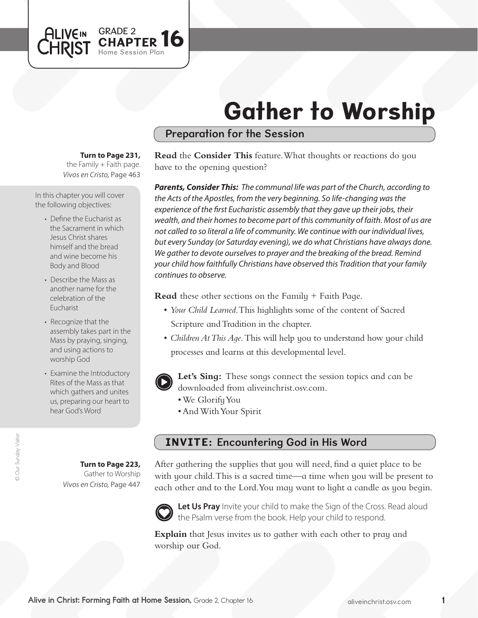# Gather to Worship

## Preparation for the Session

#### **Turn to Page 231,**

GRADE 2

Session Plan **OPTER 16** 

*Vivos en Cristo,* Page 463 the Family  $+$  Faith page.

In this chapter you will cover the following objectives:

**ALIVEIN LHRIST** 

- Define the Eucharist as the Sacrament in which Jesus Christ shares himself and the bread and wine become his Body and Blood
- Describe the Mass as another name for the celebration of the Eucharist
- Recognize that the assembly takes part in the Mass by praying, singing, and using actions to worship God
- Examine the Introductory Rites of the Mass as that which gathers and unites us, preparing our heart to hear God's Word

**Read** the **Consider This** feature. What thoughts or reactions do you have to the opening question?

*Parents, Consider This: The communal life was part of the Church, according to the Acts of the Apostles, from the very beginning. So life-changing was the experience of the first Eucharistic assembly that they gave up their jobs, their wealth, and their homes to become part of this community of faith. Most of us are not called to so literal a life of community. We continue with our individual lives, but every Sunday (or Saturday evening), we do what Christians have always done. We gather to devote ourselves to prayer and the breaking of the bread. Remind your child how faithfully Christians have observed this Tradition that your family continues to observe.*

**Read** these other sections on the Family + Faith Page.

- *Your Child Learned*. This highlights some of the content of Sacred Scripture and Tradition in the chapter.
- • *Children At This Age.* This will help you to understand how your child processes and learns at this developmental level.
- **Let's Sing:** These songs connect the session topics and can be downloaded from aliveinchrist.osv.com.
	- • We GlorifyYou
	- • AndWithYour Spirit

## INVITE: Encountering God in His Word

**Turn to Page 223,** Gather to Worship *Vivos en Cristo,* Page 447

After gathering the supplies that you will need, find a quiet place to be with your child. This is a sacred time—a time when you will be present to each other and to the Lord.You may want to light a candle as you begin.



Let Us Pray Invite your child to make the Sign of the Cross. Read aloud the Psalm verse from the book. Help your child to respond.

**Explain** that Jesus invites us to gather with each other to pray and worship our God.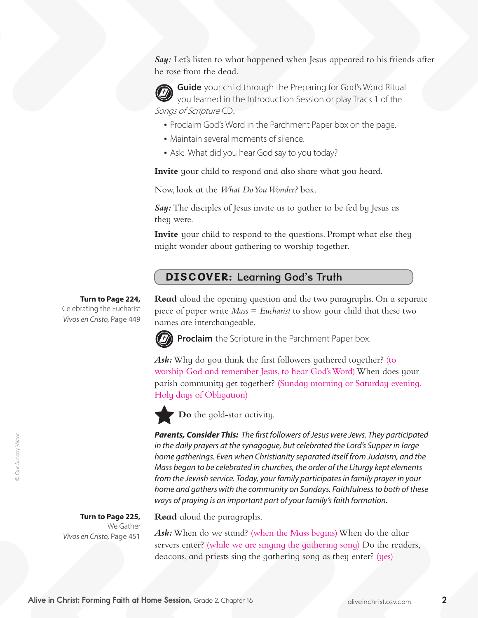Say: Let's listen to what happened when Jesus appeared to his friends after he rose from the dead.



**Guide** your child through the Preparing for God's Word Ritual you learned in the Introduction Session or play Track 1 of the Songs of Scripture CD.

- Proclaim God's Word in the Parchment Paper box on the page.
- Maintain several moments of silence.
- Ask: What did you hear God say to you today?

**Invite** your child to respond and also share what you heard.

Now, look at the *What Do You Wonder?* box.

*Say:* The disciples of Jesus invite us to gather to be fed by Jesus as they were.

**Invite** your child to respond to the questions. Prompt what else they might wonder about gathering to worship together.

#### DISCOVER: Learning God's Truth

#### **Turn to Page 224,**

Celebrating the Eucharist *Vivos en Cristo,* Page 449 **Read** aloud the opening question and the two paragraphs. On a separate piece of paper write *Mass* = *Eucharist* to show your child that these two names are interchangeable.



**Proclaim** the Scripture in the Parchment Paper box.

Ask: Why do you think the first followers gathered together? (to worship God and remember Jesus, to hear God'sWord) When does your parish community get together? (Sunday morning or Saturday evening, Holy days of Obligation)



**Do** the gold-star activity.

*Parents, Consider This: The first followers of Jesus were Jews. They participated in the daily prayers at the synagogue, but celebrated the Lord's Supper in large home gatherings. Even when Christianity separated itself from Judaism, and the Mass began to be celebrated in churches, the order of the Liturgy kept elements from the Jewish service. Today, your family participates in family prayer in your home and gathers with the community on Sundays. Faithfulness to both of these ways of praying is an important part of your family's faith formation.*

**Turn to Page 225,**  We Gather *Vivos en Cristo,* Page 451

**Read** aloud the paragraphs.

*Ask:* When do we stand? (when the Mass begins) When do the altar servers enter? (while we are singing the gathering song) Do the readers, deacons, and priests sing the gathering song as they enter? (yes)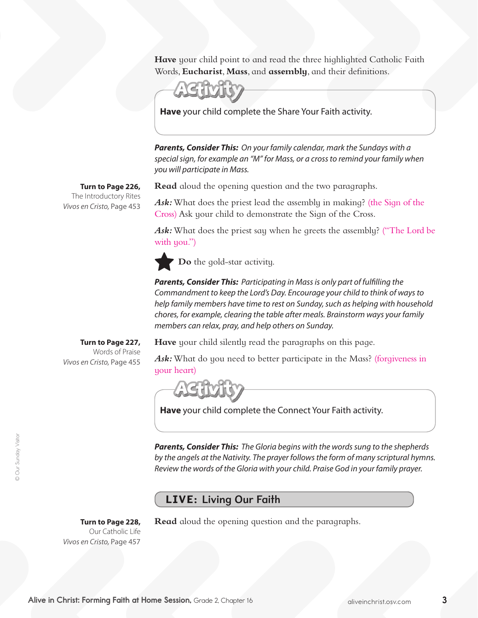**Have** your child point to and read the three highlighted Catholic Faith Words, **Eucharist**, **Mass**, and **assembly**, and their definitions.



**Have** your child complete the Share Your Faith activity.

*Parents, Consider This: On your family calendar, mark the Sundays with a special sign, for example an "M" for Mass, or a cross to remind your family when you will participate in Mass.* 

**Read** aloud the opening question and the two paragraphs.

Ask: What does the priest lead the assembly in making? (the Sign of the Cross) Ask your child to demonstrate the Sign of the Cross.

Ask: What does the priest say when he greets the assembly? ("The Lord be with you.")

**Do** the gold-star activity.

*Parents, Consider This: Participating in Mass is only part of fulfilling the Commandment to keep the Lord's Day. Encourage your child to think of ways to help family members have time to rest on Sunday, such as helping with household chores, for example, clearing the table after meals. Brainstorm ways your family members can relax, pray, and help others on Sunday.*

**Turn to Page 227,** Words of Praise

*Vivos en Cristo,* Page 455

**Have** your child silently read the paragraphs on this page.

Ask: What do you need to better participate in the Mass? (forgiveness in your heart)



**Have** your child complete the Connect Your Faith activity.

*Parents, Consider This: The Gloria begins with the words sung to the shepherds by the angels at the Nativity. The prayer follows the form of many scriptural hymns. Review the words of the Gloria with your child. Praise God in your family prayer.*

## LIVE: Living Our Faith

**Turn to Page 228,**  Our Catholic Life *Vivos en Cristo,* Page 457

**Read** aloud the opening question and the paragraphs.

*Vivos en Cristo,* Page 453

**Turn to Page 226,** The Introductory Rites